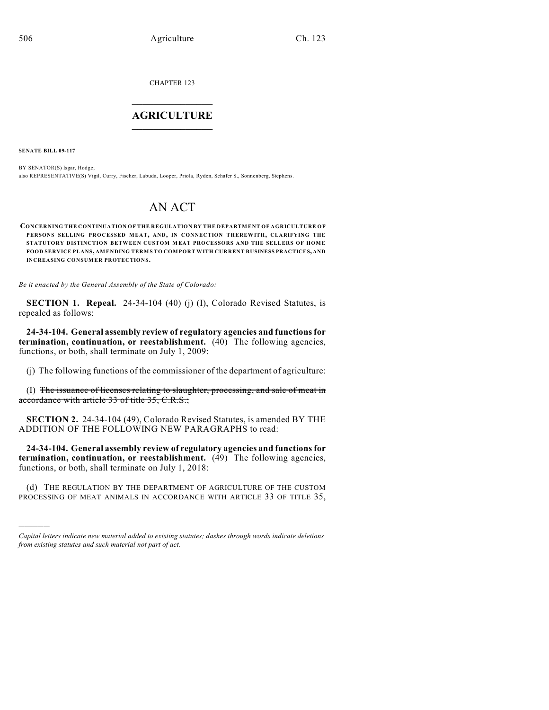CHAPTER 123  $\mathcal{L}_\text{max}$  . The set of the set of the set of the set of the set of the set of the set of the set of the set of the set of the set of the set of the set of the set of the set of the set of the set of the set of the set

# **AGRICULTURE**  $\_$   $\_$   $\_$   $\_$   $\_$   $\_$   $\_$   $\_$

**SENATE BILL 09-117**

)))))

BY SENATOR(S) Isgar, Hodge; also REPRESENTATIVE(S) Vigil, Curry, Fischer, Labuda, Looper, Priola, Ryden, Schafer S., Sonnenberg, Stephens.

# AN ACT

**CONCERNING THE CONTINUATION OF THE REGULATION BY THE DEPARTMENT OF AGRICULTURE OF PERSONS SELLING PROCESSED MEAT, AND, IN CONNECTION THEREWITH, CLARIFYING THE STATUTORY DISTINCTION BETWEEN CUSTOM MEAT PROCESSORS AND THE SELLERS OF HOME FOOD SERVICE PLANS, AMENDING TERMS TO COMPORT WITH CURRENT BUSINESS PRACTICES, AND INCREASING CONSUMER PROTECTIONS.**

*Be it enacted by the General Assembly of the State of Colorado:*

**SECTION 1. Repeal.** 24-34-104 (40) (j) (I), Colorado Revised Statutes, is repealed as follows:

**24-34-104. General assembly review of regulatory agencies and functions for termination, continuation, or reestablishment.** (40) The following agencies, functions, or both, shall terminate on July 1, 2009:

(j) The following functions of the commissioner of the department of agriculture:

(I) The issuance of licenses relating to slaughter, processing, and sale of meat in accordance with article 33 of title 35, C.R.S.;

**SECTION 2.** 24-34-104 (49), Colorado Revised Statutes, is amended BY THE ADDITION OF THE FOLLOWING NEW PARAGRAPHS to read:

**24-34-104. General assembly review of regulatory agencies and functions for termination, continuation, or reestablishment.** (49) The following agencies, functions, or both, shall terminate on July 1, 2018:

(d) THE REGULATION BY THE DEPARTMENT OF AGRICULTURE OF THE CUSTOM PROCESSING OF MEAT ANIMALS IN ACCORDANCE WITH ARTICLE 33 OF TITLE 35,

*Capital letters indicate new material added to existing statutes; dashes through words indicate deletions from existing statutes and such material not part of act.*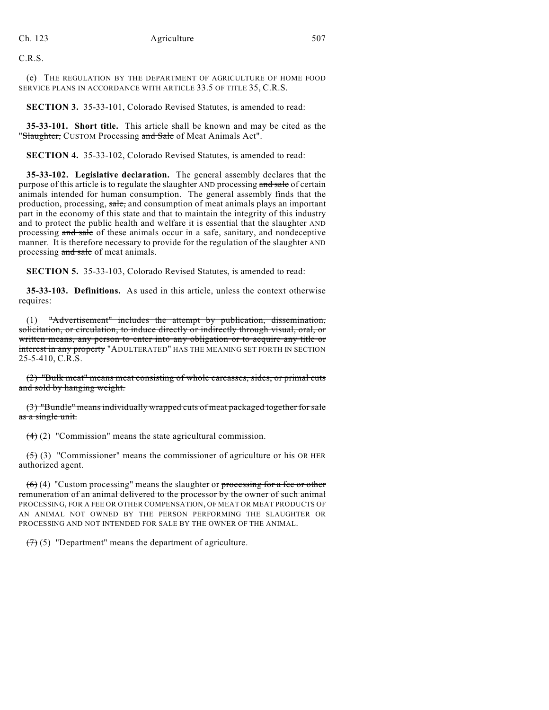C.R.S.

(e) THE REGULATION BY THE DEPARTMENT OF AGRICULTURE OF HOME FOOD SERVICE PLANS IN ACCORDANCE WITH ARTICLE 33.5 OF TITLE 35, C.R.S.

**SECTION 3.** 35-33-101, Colorado Revised Statutes, is amended to read:

**35-33-101. Short title.** This article shall be known and may be cited as the "Slaughter, CUSTOM Processing and Sale of Meat Animals Act".

**SECTION 4.** 35-33-102, Colorado Revised Statutes, is amended to read:

**35-33-102. Legislative declaration.** The general assembly declares that the purpose of this article is to regulate the slaughter AND processing and sale of certain animals intended for human consumption. The general assembly finds that the production, processing, sale, and consumption of meat animals plays an important part in the economy of this state and that to maintain the integrity of this industry and to protect the public health and welfare it is essential that the slaughter AND processing and sale of these animals occur in a safe, sanitary, and nondeceptive manner. It is therefore necessary to provide for the regulation of the slaughter AND processing and sale of meat animals.

**SECTION 5.** 35-33-103, Colorado Revised Statutes, is amended to read:

**35-33-103. Definitions.** As used in this article, unless the context otherwise requires:

(1) "Advertisement" includes the attempt by publication, dissemination, solicitation, or circulation, to induce directly or indirectly through visual, oral, or written means, any person to enter into any obligation or to acquire any title or interest in any property "ADULTERATED" HAS THE MEANING SET FORTH IN SECTION 25-5-410, C.R.S.

(2) "Bulk meat" means meat consisting of whole carcasses, sides, or primal cuts and sold by hanging weight.

(3) "Bundle" means individually wrapped cuts of meat packaged together for sale as a single unit.

(4) (2) "Commission" means the state agricultural commission.

 $(5)$  (3) "Commissioner" means the commissioner of agriculture or his OR HER authorized agent.

 $(6)$  (4) "Custom processing" means the slaughter or processing for a fee or other remuneration of an animal delivered to the processor by the owner of such animal PROCESSING, FOR A FEE OR OTHER COMPENSATION, OF MEAT OR MEAT PRODUCTS OF AN ANIMAL NOT OWNED BY THE PERSON PERFORMING THE SLAUGHTER OR PROCESSING AND NOT INTENDED FOR SALE BY THE OWNER OF THE ANIMAL.

 $(7)$  (5) "Department" means the department of agriculture.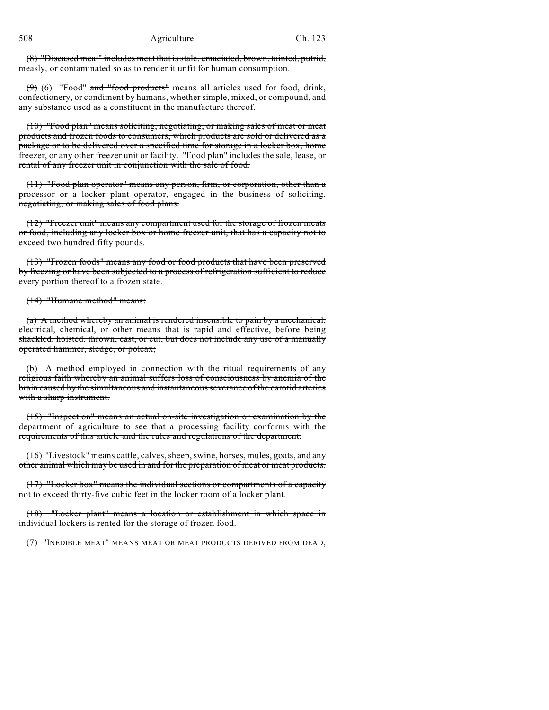508 Agriculture Ch. 123

(8) "Diseased meat" includes meat that is stale, emaciated, brown, tainted, putrid, measly, or contaminated so as to render it unfit for human consumption.

 $(9)$  (6) "Food" and "food products" means all articles used for food, drink, confectionery, or condiment by humans, whether simple, mixed, or compound, and any substance used as a constituent in the manufacture thereof.

(10) "Food plan" means soliciting, negotiating, or making sales of meat or meat products and frozen foods to consumers, which products are sold or delivered as a package or to be delivered over a specified time for storage in a locker box, home freezer, or any other freezer unit or facility. "Food plan" includes the sale, lease, or rental of any freezer unit in conjunction with the sale of food.

(11) "Food plan operator" means any person, firm, or corporation, other than a processor or a locker plant operator, engaged in the business of soliciting, negotiating, or making sales of food plans.

(12) "Freezer unit" means any compartment used for the storage of frozen meats or food, including any locker box or home freezer unit, that has a capacity not to exceed two hundred fifty pounds.

(13) "Frozen foods" means any food or food products that have been preserved by freezing or have been subjected to a process of refrigeration sufficient to reduce every portion thereof to a frozen state.

(14) "Humane method" means:

(a) A method whereby an animal is rendered insensible to pain by a mechanical, electrical, chemical, or other means that is rapid and effective, before being shackled, hoisted, thrown, cast, or cut, but does not include any use of a manually operated hammer, sledge, or poleax;

(b) A method employed in connection with the ritual requirements of any religious faith whereby an animal suffers loss of consciousness by anemia of the brain caused by the simultaneous and instantaneous severance of the carotid arteries with a sharp instrument.

(15) "Inspection" means an actual on-site investigation or examination by the department of agriculture to see that a processing facility conforms with the requirements of this article and the rules and regulations of the department.

(16) "Livestock" means cattle, calves, sheep, swine, horses, mules, goats, and any other animal which may be used in and for the preparation of meat or meat products.

(17) "Locker box" means the individual sections or compartments of a capacity not to exceed thirty-five cubic feet in the locker room of a locker plant.

(18) "Locker plant" means a location or establishment in which space in individual lockers is rented for the storage of frozen food.

(7) "INEDIBLE MEAT" MEANS MEAT OR MEAT PRODUCTS DERIVED FROM DEAD,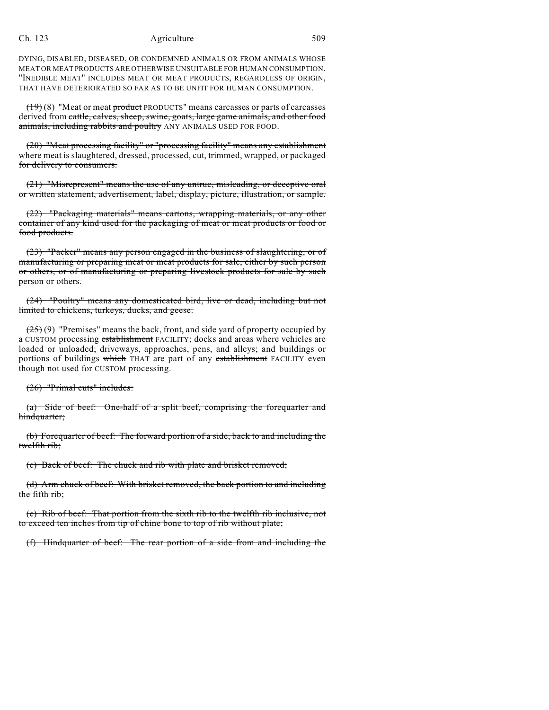DYING, DISABLED, DISEASED, OR CONDEMNED ANIMALS OR FROM ANIMALS WHOSE MEAT OR MEAT PRODUCTS ARE OTHERWISE UNSUITABLE FOR HUMAN CONSUMPTION. "INEDIBLE MEAT" INCLUDES MEAT OR MEAT PRODUCTS, REGARDLESS OF ORIGIN, THAT HAVE DETERIORATED SO FAR AS TO BE UNFIT FOR HUMAN CONSUMPTION.

 $(19)(8)$  "Meat or meat product PRODUCTS" means carcasses or parts of carcasses derived from cattle, calves, sheep, swine, goats, large game animals, and other food animals, including rabbits and poultry ANY ANIMALS USED FOR FOOD.

(20) "Meat processing facility" or "processing facility" means any establishment where meat is slaughtered, dressed, processed, cut, trimmed, wrapped, or packaged for delivery to consumers.

(21) "Misrepresent" means the use of any untrue, misleading, or deceptive oral or written statement, advertisement, label, display, picture, illustration, or sample.

(22) "Packaging materials" means cartons, wrapping materials, or any other container of any kind used for the packaging of meat or meat products or food or food products.

(23) "Packer" means any person engaged in the business of slaughtering, or of manufacturing or preparing meat or meat products for sale, either by such person or others, or of manufacturing or preparing livestock products for sale by such person or others.

(24) "Poultry" means any domesticated bird, live or dead, including but not limited to chickens, turkeys, ducks, and geese.

 $(25)(9)$  "Premises" means the back, front, and side yard of property occupied by a CUSTOM processing establishment FACILITY; docks and areas where vehicles are loaded or unloaded; driveways, approaches, pens, and alleys; and buildings or portions of buildings which THAT are part of any establishment FACILITY even though not used for CUSTOM processing.

(26) "Primal cuts" includes:

(a) Side of beef: One-half of a split beef, comprising the forequarter and hindquarter;

(b) Forequarter of beef: The forward portion of a side, back to and including the twelfth rib;

(c) Back of beef: The chuck and rib with plate and brisket removed;

(d) Arm chuck of beef: With brisket removed, the back portion to and including the fifth rib;

(e) Rib of beef: That portion from the sixth rib to the twelfth rib inclusive, not to exceed ten inches from tip of chine bone to top of rib without plate;

(f) Hindquarter of beef: The rear portion of a side from and including the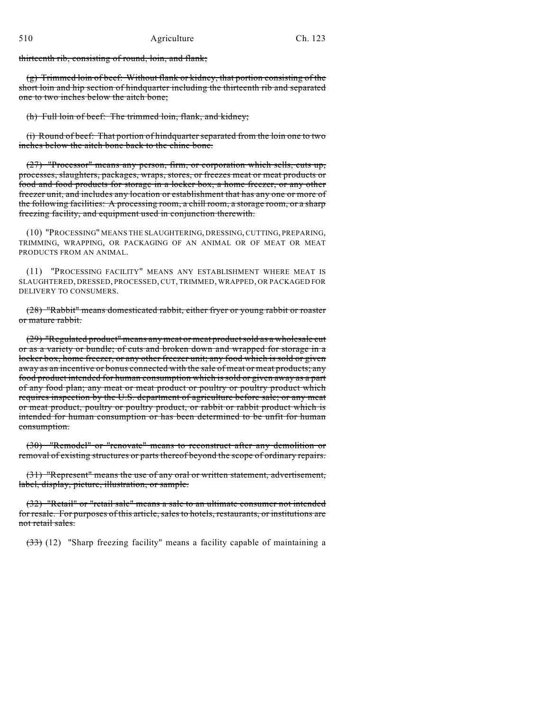thirteenth rib, consisting of round, loin, and flank;

 $(g)$  Trimmed loin of beef: Without flank or kidney, that portion consisting of the short loin and hip section of hindquarter including the thirteenth rib and separated one to two inches below the aitch bone;

(h) Full loin of beef: The trimmed loin, flank, and kidney;

(i) Round of beef: That portion of hindquarter separated from the loin one to two inches below the aitch bone back to the chine bone.

(27) "Processor" means any person, firm, or corporation which sells, cuts up, processes, slaughters, packages, wraps, stores, or freezes meat or meat products or food and food products for storage in a locker box, a home freezer, or any other freezer unit, and includes any location or establishment that has any one or more of the following facilities: A processing room, a chill room, a storage room, or a sharp freezing facility, and equipment used in conjunction therewith.

(10) "PROCESSING" MEANS THE SLAUGHTERING, DRESSING, CUTTING, PREPARING, TRIMMING, WRAPPING, OR PACKAGING OF AN ANIMAL OR OF MEAT OR MEAT PRODUCTS FROM AN ANIMAL.

(11) "PROCESSING FACILITY" MEANS ANY ESTABLISHMENT WHERE MEAT IS SLAUGHTERED, DRESSED, PROCESSED, CUT, TRIMMED, WRAPPED, OR PACKAGED FOR DELIVERY TO CONSUMERS.

(28) "Rabbit" means domesticated rabbit, either fryer or young rabbit or roaster or mature rabbit.

(29) "Regulated product" means any meat or meat product sold as a wholesale cut or as a variety or bundle; of cuts and broken down and wrapped for storage in a locker box, home freezer, or any other freezer unit; any food which is sold or given away as an incentive or bonus connected with the sale of meat or meat products; any food product intended for human consumption which is sold or given away as a part of any food plan; any meat or meat product or poultry or poultry product which requires inspection by the U.S. department of agriculture before sale; or any meat or meat product, poultry or poultry product, or rabbit or rabbit product which is intended for human consumption or has been determined to be unfit for human consumption.

(30) "Remodel" or "renovate" means to reconstruct after any demolition or removal of existing structures or parts thereof beyond the scope of ordinary repairs.

(31) "Represent" means the use of any oral or written statement, advertisement, label, display, picture, illustration, or sample.

(32) "Retail" or "retail sale" means a sale to an ultimate consumer not intended for resale. For purposes of this article, sales to hotels, restaurants, or institutions are not retail sales.

(33) (12) "Sharp freezing facility" means a facility capable of maintaining a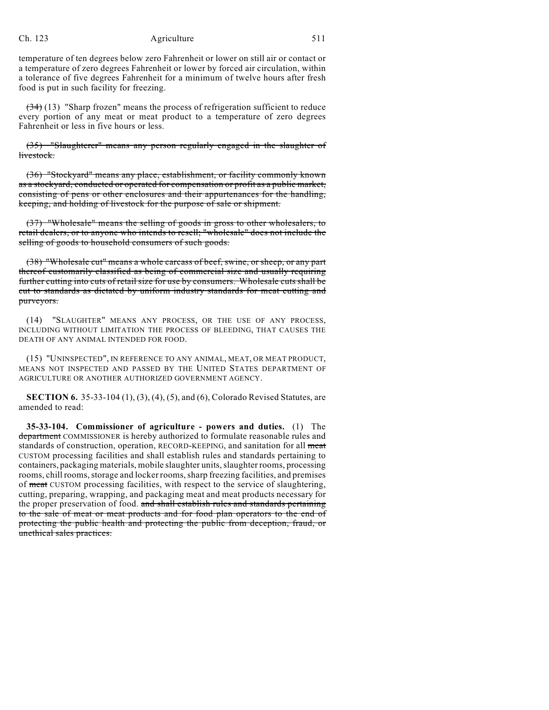temperature of ten degrees below zero Fahrenheit or lower on still air or contact or a temperature of zero degrees Fahrenheit or lower by forced air circulation, within a tolerance of five degrees Fahrenheit for a minimum of twelve hours after fresh food is put in such facility for freezing.

 $(34)$  (13) "Sharp frozen" means the process of refrigeration sufficient to reduce every portion of any meat or meat product to a temperature of zero degrees Fahrenheit or less in five hours or less.

(35) "Slaughterer" means any person regularly engaged in the slaughter of livestock.

(36) "Stockyard" means any place, establishment, or facility commonly known as a stockyard, conducted or operated for compensation or profit as a public market, consisting of pens or other enclosures and their appurtenances for the handling, keeping, and holding of livestock for the purpose of sale or shipment.

(37) "Wholesale" means the selling of goods in gross to other wholesalers, to retail dealers, or to anyone who intends to resell; "wholesale" does not include the selling of goods to household consumers of such goods.

(38) "Wholesale cut" means a whole carcass of beef, swine, or sheep, or any part thereof customarily classified as being of commercial size and usually requiring further cutting into cuts of retail size for use by consumers. Wholesale cuts shall be cut to standards as dictated by uniform industry standards for meat cutting and purveyors.

(14) "SLAUGHTER" MEANS ANY PROCESS, OR THE USE OF ANY PROCESS, INCLUDING WITHOUT LIMITATION THE PROCESS OF BLEEDING, THAT CAUSES THE DEATH OF ANY ANIMAL INTENDED FOR FOOD.

(15) "UNINSPECTED", IN REFERENCE TO ANY ANIMAL, MEAT, OR MEAT PRODUCT, MEANS NOT INSPECTED AND PASSED BY THE UNITED STATES DEPARTMENT OF AGRICULTURE OR ANOTHER AUTHORIZED GOVERNMENT AGENCY.

**SECTION 6.** 35-33-104 (1), (3), (4), (5), and (6), Colorado Revised Statutes, are amended to read:

**35-33-104. Commissioner of agriculture - powers and duties.** (1) The department COMMISSIONER is hereby authorized to formulate reasonable rules and standards of construction, operation, RECORD-KEEPING, and sanitation for all meat CUSTOM processing facilities and shall establish rules and standards pertaining to containers, packaging materials, mobile slaughter units, slaughter rooms, processing rooms, chill rooms, storage and locker rooms, sharp freezing facilities, and premises of meat CUSTOM processing facilities, with respect to the service of slaughtering, cutting, preparing, wrapping, and packaging meat and meat products necessary for the proper preservation of food. and shall establish rules and standards pertaining to the sale of meat or meat products and for food plan operators to the end of protecting the public health and protecting the public from deception, fraud, or unethical sales practices.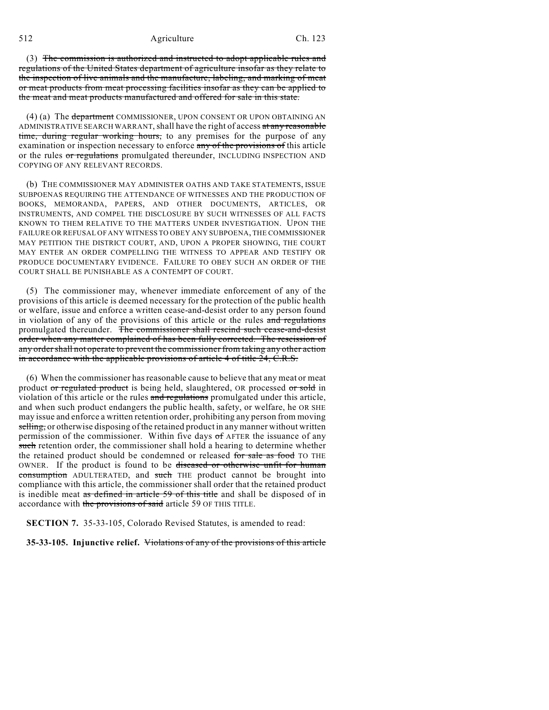512 Agriculture Ch. 123

(3) The commission is authorized and instructed to adopt applicable rules and regulations of the United States department of agriculture insofar as they relate to the inspection of live animals and the manufacture, labeling, and marking of meat or meat products from meat processing facilities insofar as they can be applied to the meat and meat products manufactured and offered for sale in this state.

(4) (a) The department COMMISSIONER, UPON CONSENT OR UPON OBTAINING AN ADMINISTRATIVE SEARCH WARRANT, shall have the right of access at any reasonable time, during regular working hours, to any premises for the purpose of any examination or inspection necessary to enforce any of the provisions of this article or the rules or regulations promulgated thereunder, INCLUDING INSPECTION AND COPYING OF ANY RELEVANT RECORDS.

(b) THE COMMISSIONER MAY ADMINISTER OATHS AND TAKE STATEMENTS, ISSUE SUBPOENAS REQUIRING THE ATTENDANCE OF WITNESSES AND THE PRODUCTION OF BOOKS, MEMORANDA, PAPERS, AND OTHER DOCUMENTS, ARTICLES, OR INSTRUMENTS, AND COMPEL THE DISCLOSURE BY SUCH WITNESSES OF ALL FACTS KNOWN TO THEM RELATIVE TO THE MATTERS UNDER INVESTIGATION. UPON THE FAILURE OR REFUSAL OF ANY WITNESS TO OBEY ANY SUBPOENA, THE COMMISSIONER MAY PETITION THE DISTRICT COURT, AND, UPON A PROPER SHOWING, THE COURT MAY ENTER AN ORDER COMPELLING THE WITNESS TO APPEAR AND TESTIFY OR PRODUCE DOCUMENTARY EVIDENCE. FAILURE TO OBEY SUCH AN ORDER OF THE COURT SHALL BE PUNISHABLE AS A CONTEMPT OF COURT.

(5) The commissioner may, whenever immediate enforcement of any of the provisions of this article is deemed necessary for the protection of the public health or welfare, issue and enforce a written cease-and-desist order to any person found in violation of any of the provisions of this article or the rules and regulations promulgated thereunder. The commissioner shall rescind such cease-and-desist order when any matter complained of has been fully corrected. The rescission of any order shall not operate to prevent the commissioner from taking any other action in accordance with the applicable provisions of article 4 of title 24, C.R.S.

(6) When the commissioner hasreasonable cause to believe that any meat or meat product or regulated product is being held, slaughtered, OR processed or sold in violation of this article or the rules and regulations promulgated under this article, and when such product endangers the public health, safety, or welfare, he OR SHE may issue and enforce a written retention order, prohibiting any person from moving selling, or otherwise disposing of the retained product in any manner without written permission of the commissioner. Within five days of AFTER the issuance of any such retention order, the commissioner shall hold a hearing to determine whether the retained product should be condemned or released for sale as food TO THE OWNER. If the product is found to be diseased or otherwise unfit for human consumption ADULTERATED, and such THE product cannot be brought into compliance with this article, the commissioner shall order that the retained product is inedible meat as defined in article 59 of this title and shall be disposed of in accordance with the provisions of said article 59 OF THIS TITLE.

**SECTION 7.** 35-33-105, Colorado Revised Statutes, is amended to read:

**35-33-105. Injunctive relief.** Violations of any of the provisions of this article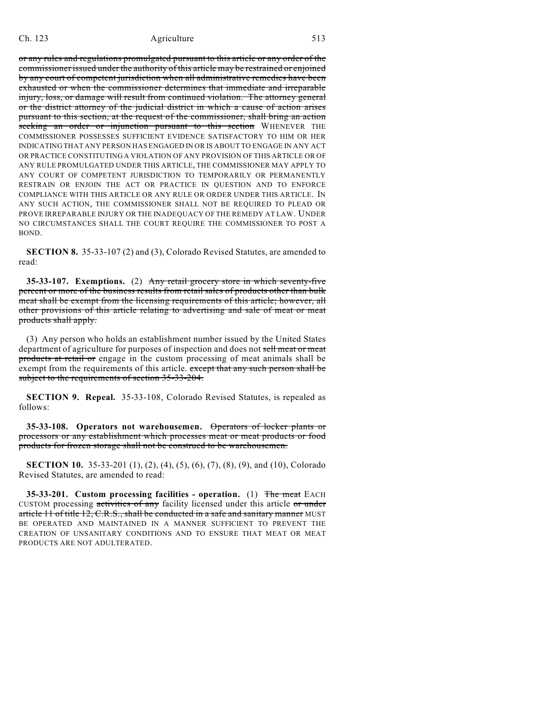or any rules and regulations promulgated pursuant to this article or any order of the commissioner issued under the authority of this article may be restrained or enjoined by any court of competent jurisdiction when all administrative remedies have been exhausted or when the commissioner determines that immediate and irreparable injury, loss, or damage will result from continued violation. The attorney general or the district attorney of the judicial district in which a cause of action arises pursuant to this section, at the request of the commissioner, shall bring an action seeking an order or injunction pursuant to this section WHENEVER THE COMMISSIONER POSSESSES SUFFICIENT EVIDENCE SATISFACTORY TO HIM OR HER INDICATING THAT ANY PERSON HAS ENGAGED IN OR IS ABOUT TO ENGAGE IN ANY ACT OR PRACTICE CONSTITUTING A VIOLATION OF ANY PROVISION OF THIS ARTICLE OR OF ANY RULE PROMULGATED UNDER THIS ARTICLE, THE COMMISSIONER MAY APPLY TO ANY COURT OF COMPETENT JURISDICTION TO TEMPORARILY OR PERMANENTLY RESTRAIN OR ENJOIN THE ACT OR PRACTICE IN QUESTION AND TO ENFORCE COMPLIANCE WITH THIS ARTICLE OR ANY RULE OR ORDER UNDER THIS ARTICLE. IN ANY SUCH ACTION, THE COMMISSIONER SHALL NOT BE REQUIRED TO PLEAD OR PROVE IRREPARABLE INJURY OR THE INADEQUACY OF THE REMEDY AT LAW. UNDER NO CIRCUMSTANCES SHALL THE COURT REQUIRE THE COMMISSIONER TO POST A BOND.

**SECTION 8.** 35-33-107 (2) and (3), Colorado Revised Statutes, are amended to read:

**35-33-107. Exemptions.** (2) Any retail grocery store in which seventy-five percent or more of the business results from retail sales of products other than bulk meat shall be exempt from the licensing requirements of this article; however, all other provisions of this article relating to advertising and sale of meat or meat products shall apply.

(3) Any person who holds an establishment number issued by the United States department of agriculture for purposes of inspection and does not sell meat or meat products at retail or engage in the custom processing of meat animals shall be exempt from the requirements of this article. except that any such person shall be subject to the requirements of section 35-33-204.

**SECTION 9. Repeal.** 35-33-108, Colorado Revised Statutes, is repealed as follows:

**35-33-108. Operators not warehousemen.** Operators of locker plants or processors or any establishment which processes meat or meat products or food products for frozen storage shall not be construed to be warehousemen.

**SECTION 10.** 35-33-201 (1), (2), (4), (5), (6), (7), (8), (9), and (10), Colorado Revised Statutes, are amended to read:

**35-33-201. Custom processing facilities - operation.** (1) The meat EACH CUSTOM processing activities of any facility licensed under this article or under article 11 of title 12, C.R.S., shall be conducted in a safe and sanitary manner MUST BE OPERATED AND MAINTAINED IN A MANNER SUFFICIENT TO PREVENT THE CREATION OF UNSANITARY CONDITIONS AND TO ENSURE THAT MEAT OR MEAT PRODUCTS ARE NOT ADULTERATED.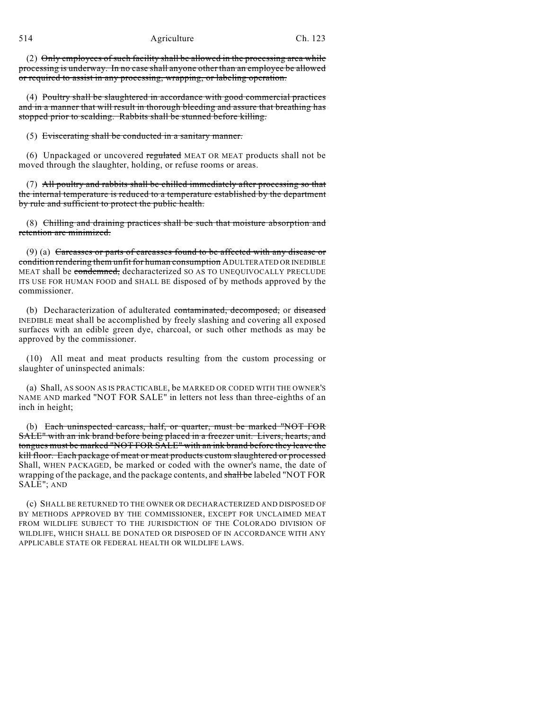(2) Only employees of such facility shall be allowed in the processing area while processing is underway. In no case shall anyone other than an employee be allowed or required to assist in any processing, wrapping, or labeling operation.

(4) Poultry shall be slaughtered in accordance with good commercial practices and in a manner that will result in thorough bleeding and assure that breathing has stopped prior to scalding. Rabbits shall be stunned before killing.

(5) Eviscerating shall be conducted in a sanitary manner.

(6) Unpackaged or uncovered regulated MEAT OR MEAT products shall not be moved through the slaughter, holding, or refuse rooms or areas.

(7) All poultry and rabbits shall be chilled immediately after processing so that the internal temperature is reduced to a temperature established by the department by rule and sufficient to protect the public health.

(8) Chilling and draining practices shall be such that moisture absorption and retention are minimized.

(9) (a) Carcasses or parts of carcasses found to be affected with any disease or condition rendering them unfit for human consumption ADULTERATED OR INEDIBLE MEAT shall be condemned, decharacterized SO AS TO UNEQUIVOCALLY PRECLUDE ITS USE FOR HUMAN FOOD and SHALL BE disposed of by methods approved by the commissioner.

(b) Decharacterization of adulterated contaminated, decomposed, or diseased INEDIBLE meat shall be accomplished by freely slashing and covering all exposed surfaces with an edible green dye, charcoal, or such other methods as may be approved by the commissioner.

(10) All meat and meat products resulting from the custom processing or slaughter of uninspected animals:

(a) Shall, AS SOON AS IS PRACTICABLE, be MARKED OR CODED WITH THE OWNER'S NAME AND marked "NOT FOR SALE" in letters not less than three-eighths of an inch in height;

(b) Each uninspected carcass, half, or quarter, must be marked "NOT FOR SALE" with an ink brand before being placed in a freezer unit. Livers, hearts, and tongues must be marked "NOT FOR SALE" with an ink brand before they leave the kill floor. Each package of meat or meat products custom slaughtered or processed Shall, WHEN PACKAGED, be marked or coded with the owner's name, the date of wrapping of the package, and the package contents, and shall be labeled "NOT FOR SALE"; AND

(c) SHALL BE RETURNED TO THE OWNER OR DECHARACTERIZED AND DISPOSED OF BY METHODS APPROVED BY THE COMMISSIONER, EXCEPT FOR UNCLAIMED MEAT FROM WILDLIFE SUBJECT TO THE JURISDICTION OF THE COLORADO DIVISION OF WILDLIFE, WHICH SHALL BE DONATED OR DISPOSED OF IN ACCORDANCE WITH ANY APPLICABLE STATE OR FEDERAL HEALTH OR WILDLIFE LAWS.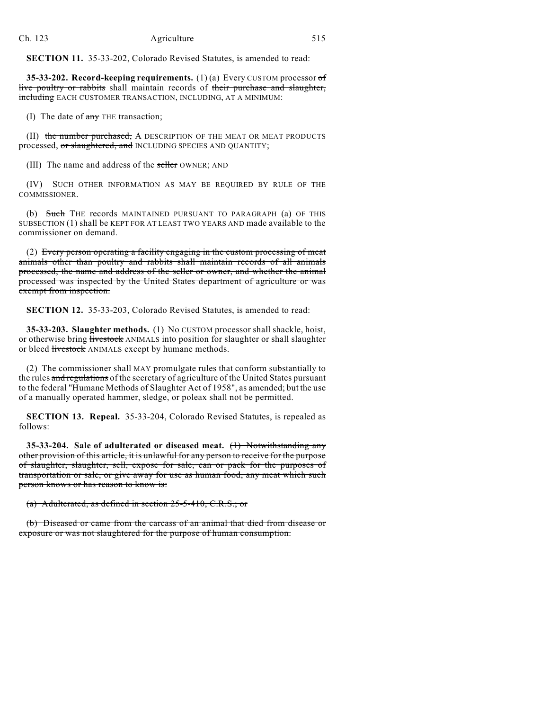**SECTION 11.** 35-33-202, Colorado Revised Statutes, is amended to read:

**35-33-202. Record-keeping requirements.** (1) (a) Every CUSTOM processor of live poultry or rabbits shall maintain records of their purchase and slaughter, including EACH CUSTOMER TRANSACTION, INCLUDING, AT A MINIMUM:

(I) The date of  $\frac{a}{x+y}$  THE transaction;

(II) the number purchased, A DESCRIPTION OF THE MEAT OR MEAT PRODUCTS processed, or slaughtered, and INCLUDING SPECIES AND QUANTITY;

(III) The name and address of the seller OWNER; AND

(IV) SUCH OTHER INFORMATION AS MAY BE REQUIRED BY RULE OF THE COMMISSIONER.

(b) Such THE records MAINTAINED PURSUANT TO PARAGRAPH (a) OF THIS SUBSECTION (1) shall be KEPT FOR AT LEAST TWO YEARS AND made available to the commissioner on demand.

(2) Every person operating a facility engaging in the custom processing of meat animals other than poultry and rabbits shall maintain records of all animals processed, the name and address of the seller or owner, and whether the animal processed was inspected by the United States department of agriculture or was exempt from inspection.

**SECTION 12.** 35-33-203, Colorado Revised Statutes, is amended to read:

**35-33-203. Slaughter methods.** (1) No CUSTOM processor shall shackle, hoist, or otherwise bring livestock ANIMALS into position for slaughter or shall slaughter or bleed livestock ANIMALS except by humane methods.

(2) The commissioner shall MAY promulgate rules that conform substantially to the rules and regulations of the secretary of agriculture of the United States pursuant to the federal "Humane Methods of Slaughter Act of 1958", as amended; but the use of a manually operated hammer, sledge, or poleax shall not be permitted.

**SECTION 13. Repeal.** 35-33-204, Colorado Revised Statutes, is repealed as follows:

**35-33-204. Sale of adulterated or diseased meat.** (1) Notwithstanding any other provision of this article, it is unlawful for any person to receive for the purpose of slaughter, slaughter, sell, expose for sale, can or pack for the purposes of transportation or sale, or give away for use as human food, any meat which such person knows or has reason to know is:

(a) Adulterated, as defined in section 25-5-410, C.R.S.; or

(b) Diseased or came from the carcass of an animal that died from disease or exposure or was not slaughtered for the purpose of human consumption.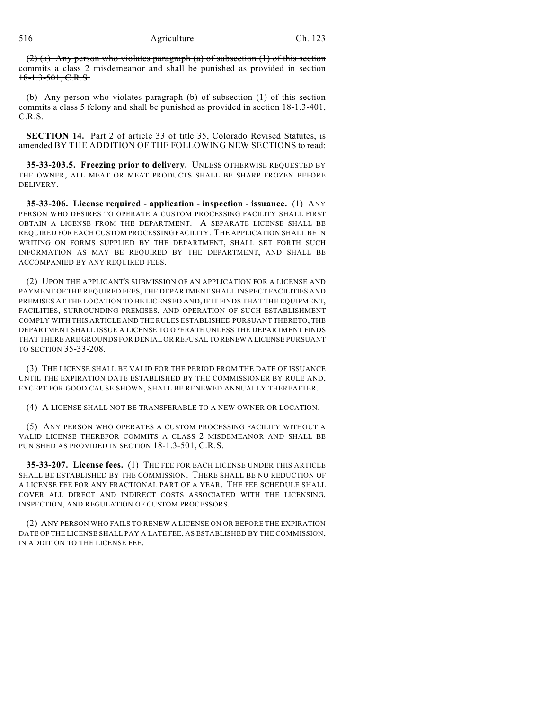## 516 Agriculture Ch. 123

(2) (a) Any person who violates paragraph (a) of subsection (1) of this section commits a class 2 misdemeanor and shall be punished as provided in section 18-1.3-501, C.R.S.

(b) Any person who violates paragraph (b) of subsection (1) of this section commits a class 5 felony and shall be punished as provided in section 18-1.3-401, C.R.S.

**SECTION 14.** Part 2 of article 33 of title 35, Colorado Revised Statutes, is amended BY THE ADDITION OF THE FOLLOWING NEW SECTIONS to read:

**35-33-203.5. Freezing prior to delivery.** UNLESS OTHERWISE REQUESTED BY THE OWNER, ALL MEAT OR MEAT PRODUCTS SHALL BE SHARP FROZEN BEFORE DELIVERY.

**35-33-206. License required - application - inspection - issuance.** (1) ANY PERSON WHO DESIRES TO OPERATE A CUSTOM PROCESSING FACILITY SHALL FIRST OBTAIN A LICENSE FROM THE DEPARTMENT. A SEPARATE LICENSE SHALL BE REQUIRED FOR EACH CUSTOM PROCESSING FACILITY. THE APPLICATION SHALL BE IN WRITING ON FORMS SUPPLIED BY THE DEPARTMENT, SHALL SET FORTH SUCH INFORMATION AS MAY BE REQUIRED BY THE DEPARTMENT, AND SHALL BE ACCOMPANIED BY ANY REQUIRED FEES.

(2) UPON THE APPLICANT'S SUBMISSION OF AN APPLICATION FOR A LICENSE AND PAYMENT OF THE REQUIRED FEES, THE DEPARTMENT SHALL INSPECT FACILITIES AND PREMISES AT THE LOCATION TO BE LICENSED AND, IF IT FINDS THAT THE EQUIPMENT, FACILITIES, SURROUNDING PREMISES, AND OPERATION OF SUCH ESTABLISHMENT COMPLY WITH THIS ARTICLE AND THE RULES ESTABLISHED PURSUANT THERETO, THE DEPARTMENT SHALL ISSUE A LICENSE TO OPERATE UNLESS THE DEPARTMENT FINDS THAT THERE ARE GROUNDS FOR DENIAL OR REFUSAL TO RENEW A LICENSE PURSUANT TO SECTION 35-33-208.

(3) THE LICENSE SHALL BE VALID FOR THE PERIOD FROM THE DATE OF ISSUANCE UNTIL THE EXPIRATION DATE ESTABLISHED BY THE COMMISSIONER BY RULE AND, EXCEPT FOR GOOD CAUSE SHOWN, SHALL BE RENEWED ANNUALLY THEREAFTER.

(4) A LICENSE SHALL NOT BE TRANSFERABLE TO A NEW OWNER OR LOCATION.

(5) ANY PERSON WHO OPERATES A CUSTOM PROCESSING FACILITY WITHOUT A VALID LICENSE THEREFOR COMMITS A CLASS 2 MISDEMEANOR AND SHALL BE PUNISHED AS PROVIDED IN SECTION 18-1.3-501, C.R.S.

**35-33-207. License fees.** (1) THE FEE FOR EACH LICENSE UNDER THIS ARTICLE SHALL BE ESTABLISHED BY THE COMMISSION. THERE SHALL BE NO REDUCTION OF A LICENSE FEE FOR ANY FRACTIONAL PART OF A YEAR. THE FEE SCHEDULE SHALL COVER ALL DIRECT AND INDIRECT COSTS ASSOCIATED WITH THE LICENSING, INSPECTION, AND REGULATION OF CUSTOM PROCESSORS.

(2) ANY PERSON WHO FAILS TO RENEW A LICENSE ON OR BEFORE THE EXPIRATION DATE OF THE LICENSE SHALL PAY A LATE FEE, AS ESTABLISHED BY THE COMMISSION, IN ADDITION TO THE LICENSE FEE.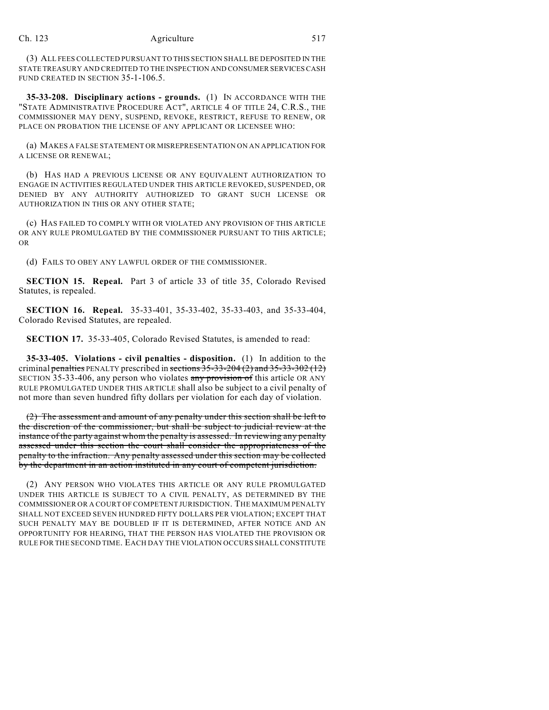(3) ALL FEES COLLECTED PURSUANT TO THIS SECTION SHALL BE DEPOSITED IN THE STATE TREASURY AND CREDITED TO THE INSPECTION AND CONSUMER SERVICES CASH FUND CREATED IN SECTION 35-1-106.5.

**35-33-208. Disciplinary actions - grounds.** (1) IN ACCORDANCE WITH THE "STATE ADMINISTRATIVE PROCEDURE ACT", ARTICLE 4 OF TITLE 24, C.R.S., THE COMMISSIONER MAY DENY, SUSPEND, REVOKE, RESTRICT, REFUSE TO RENEW, OR PLACE ON PROBATION THE LICENSE OF ANY APPLICANT OR LICENSEE WHO:

(a) MAKES A FALSE STATEMENT OR MISREPRESENTATION ON AN APPLICATION FOR A LICENSE OR RENEWAL;

(b) HAS HAD A PREVIOUS LICENSE OR ANY EQUIVALENT AUTHORIZATION TO ENGAGE IN ACTIVITIES REGULATED UNDER THIS ARTICLE REVOKED, SUSPENDED, OR DENIED BY ANY AUTHORITY AUTHORIZED TO GRANT SUCH LICENSE OR AUTHORIZATION IN THIS OR ANY OTHER STATE;

(c) HAS FAILED TO COMPLY WITH OR VIOLATED ANY PROVISION OF THIS ARTICLE OR ANY RULE PROMULGATED BY THE COMMISSIONER PURSUANT TO THIS ARTICLE; OR

(d) FAILS TO OBEY ANY LAWFUL ORDER OF THE COMMISSIONER.

**SECTION 15. Repeal.** Part 3 of article 33 of title 35, Colorado Revised Statutes, is repealed.

**SECTION 16. Repeal.** 35-33-401, 35-33-402, 35-33-403, and 35-33-404, Colorado Revised Statutes, are repealed.

**SECTION 17.** 35-33-405, Colorado Revised Statutes, is amended to read:

**35-33-405. Violations - civil penalties - disposition.** (1) In addition to the criminal penalties PENALTY prescribed in sections  $35-33-204(2)$  and  $35-33-302(12)$ SECTION 35-33-406, any person who violates any provision of this article OR ANY RULE PROMULGATED UNDER THIS ARTICLE shall also be subject to a civil penalty of not more than seven hundred fifty dollars per violation for each day of violation.

(2) The assessment and amount of any penalty under this section shall be left to the discretion of the commissioner, but shall be subject to judicial review at the instance of the party against whom the penalty is assessed. In reviewing any penalty assessed under this section the court shall consider the appropriateness of the penalty to the infraction. Any penalty assessed under this section may be collected by the department in an action instituted in any court of competent jurisdiction.

(2) ANY PERSON WHO VIOLATES THIS ARTICLE OR ANY RULE PROMULGATED UNDER THIS ARTICLE IS SUBJECT TO A CIVIL PENALTY, AS DETERMINED BY THE COMMISSIONER OR A COURT OFCOMPETENT JURISDICTION. THE MAXIMUM PENALTY SHALL NOT EXCEED SEVEN HUNDRED FIFTY DOLLARS PER VIOLATION; EXCEPT THAT SUCH PENALTY MAY BE DOUBLED IF IT IS DETERMINED, AFTER NOTICE AND AN OPPORTUNITY FOR HEARING, THAT THE PERSON HAS VIOLATED THE PROVISION OR RULE FOR THE SECOND TIME. EACH DAY THE VIOLATION OCCURS SHALL CONSTITUTE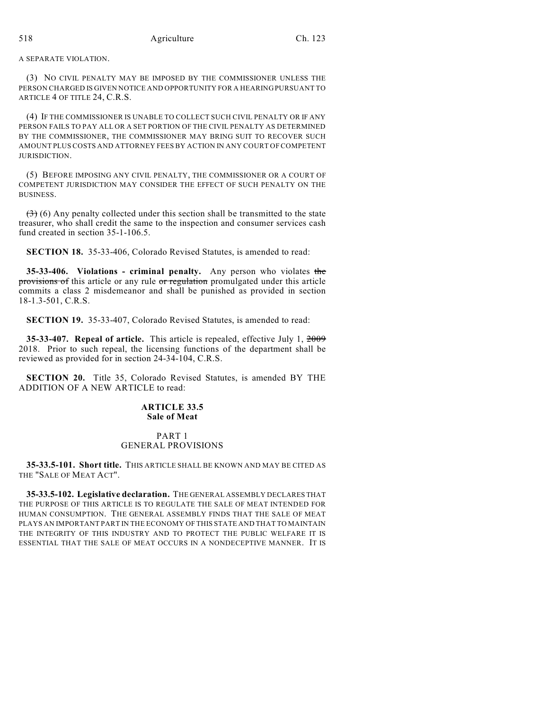A SEPARATE VIOLATION.

(3) NO CIVIL PENALTY MAY BE IMPOSED BY THE COMMISSIONER UNLESS THE PERSON CHARGED IS GIVEN NOTICE AND OPPORTUNITY FOR A HEARING PURSUANT TO ARTICLE 4 OF TITLE 24, C.R.S.

(4) IF THE COMMISSIONER IS UNABLE TO COLLECT SUCH CIVIL PENALTY OR IF ANY PERSON FAILS TO PAY ALL OR A SET PORTION OF THE CIVIL PENALTY AS DETERMINED BY THE COMMISSIONER, THE COMMISSIONER MAY BRING SUIT TO RECOVER SUCH AMOUNT PLUS COSTS AND ATTORNEY FEES BY ACTION IN ANY COURT OF COMPETENT JURISDICTION.

(5) BEFORE IMPOSING ANY CIVIL PENALTY, THE COMMISSIONER OR A COURT OF COMPETENT JURISDICTION MAY CONSIDER THE EFFECT OF SUCH PENALTY ON THE BUSINESS.

 $(3)$  (6) Any penalty collected under this section shall be transmitted to the state treasurer, who shall credit the same to the inspection and consumer services cash fund created in section 35-1-106.5.

**SECTION 18.** 35-33-406, Colorado Revised Statutes, is amended to read:

**35-33-406. Violations - criminal penalty.** Any person who violates the provisions of this article or any rule or regulation promulgated under this article commits a class 2 misdemeanor and shall be punished as provided in section 18-1.3-501, C.R.S.

**SECTION 19.** 35-33-407, Colorado Revised Statutes, is amended to read:

**35-33-407. Repeal of article.** This article is repealed, effective July 1, 2009 2018. Prior to such repeal, the licensing functions of the department shall be reviewed as provided for in section 24-34-104, C.R.S.

**SECTION 20.** Title 35, Colorado Revised Statutes, is amended BY THE ADDITION OF A NEW ARTICLE to read:

## **ARTICLE 33.5 Sale of Meat**

# PART 1 GENERAL PROVISIONS

**35-33.5-101. Short title.** THIS ARTICLE SHALL BE KNOWN AND MAY BE CITED AS THE "SALE OF MEAT ACT".

**35-33.5-102. Legislative declaration.** THE GENERAL ASSEMBLY DECLARES THAT THE PURPOSE OF THIS ARTICLE IS TO REGULATE THE SALE OF MEAT INTENDED FOR HUMAN CONSUMPTION. THE GENERAL ASSEMBLY FINDS THAT THE SALE OF MEAT PLAYS AN IMPORTANT PART IN THE ECONOMY OF THIS STATE AND THAT TO MAINTAIN THE INTEGRITY OF THIS INDUSTRY AND TO PROTECT THE PUBLIC WELFARE IT IS ESSENTIAL THAT THE SALE OF MEAT OCCURS IN A NONDECEPTIVE MANNER. IT IS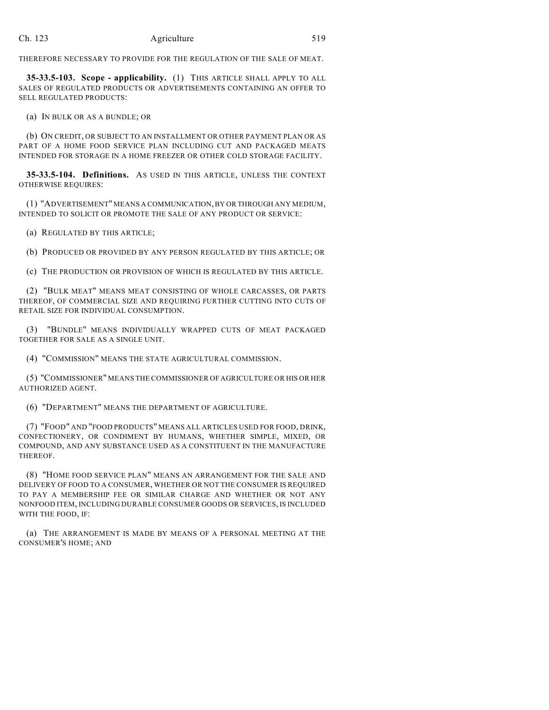THEREFORE NECESSARY TO PROVIDE FOR THE REGULATION OF THE SALE OF MEAT.

**35-33.5-103. Scope - applicability.** (1) THIS ARTICLE SHALL APPLY TO ALL SALES OF REGULATED PRODUCTS OR ADVERTISEMENTS CONTAINING AN OFFER TO SELL REGULATED PRODUCTS:

(a) IN BULK OR AS A BUNDLE; OR

(b) ON CREDIT, OR SUBJECT TO AN INSTALLMENT OR OTHER PAYMENT PLAN OR AS PART OF A HOME FOOD SERVICE PLAN INCLUDING CUT AND PACKAGED MEATS INTENDED FOR STORAGE IN A HOME FREEZER OR OTHER COLD STORAGE FACILITY.

**35-33.5-104. Definitions.** AS USED IN THIS ARTICLE, UNLESS THE CONTEXT OTHERWISE REQUIRES:

(1) "ADVERTISEMENT" MEANS A COMMUNICATION, BY OR THROUGH ANY MEDIUM, INTENDED TO SOLICIT OR PROMOTE THE SALE OF ANY PRODUCT OR SERVICE:

(a) REGULATED BY THIS ARTICLE;

(b) PRODUCED OR PROVIDED BY ANY PERSON REGULATED BY THIS ARTICLE; OR

(c) THE PRODUCTION OR PROVISION OF WHICH IS REGULATED BY THIS ARTICLE.

(2) "BULK MEAT" MEANS MEAT CONSISTING OF WHOLE CARCASSES, OR PARTS THEREOF, OF COMMERCIAL SIZE AND REQUIRING FURTHER CUTTING INTO CUTS OF RETAIL SIZE FOR INDIVIDUAL CONSUMPTION.

(3) "BUNDLE" MEANS INDIVIDUALLY WRAPPED CUTS OF MEAT PACKAGED TOGETHER FOR SALE AS A SINGLE UNIT.

(4) "COMMISSION" MEANS THE STATE AGRICULTURAL COMMISSION.

(5) "COMMISSIONER" MEANS THE COMMISSIONER OF AGRICULTURE OR HIS OR HER AUTHORIZED AGENT.

(6) "DEPARTMENT" MEANS THE DEPARTMENT OF AGRICULTURE.

(7) "FOOD" AND "FOOD PRODUCTS" MEANS ALL ARTICLES USED FOR FOOD, DRINK, CONFECTIONERY, OR CONDIMENT BY HUMANS, WHETHER SIMPLE, MIXED, OR COMPOUND, AND ANY SUBSTANCE USED AS A CONSTITUENT IN THE MANUFACTURE THEREOF.

(8) "HOME FOOD SERVICE PLAN" MEANS AN ARRANGEMENT FOR THE SALE AND DELIVERY OF FOOD TO A CONSUMER, WHETHER OR NOT THE CONSUMER IS REQUIRED TO PAY A MEMBERSHIP FEE OR SIMILAR CHARGE AND WHETHER OR NOT ANY NONFOOD ITEM, INCLUDING DURABLE CONSUMER GOODS OR SERVICES, IS INCLUDED WITH THE FOOD, IF:

(a) THE ARRANGEMENT IS MADE BY MEANS OF A PERSONAL MEETING AT THE CONSUMER'S HOME; AND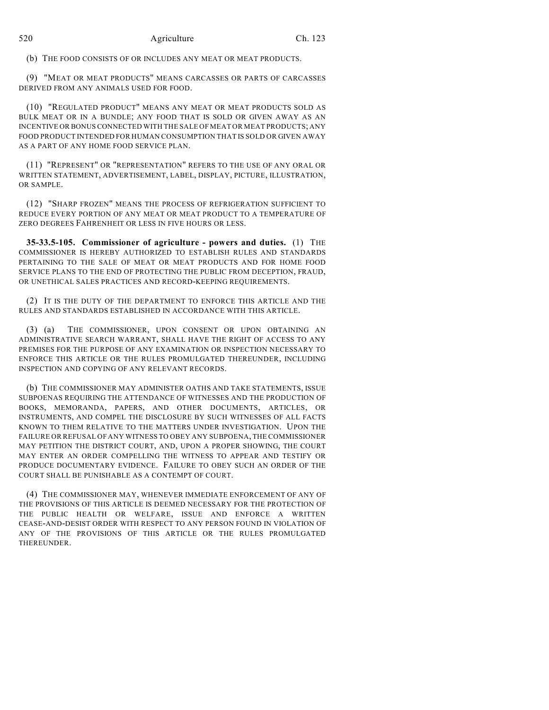(b) THE FOOD CONSISTS OF OR INCLUDES ANY MEAT OR MEAT PRODUCTS.

(9) "MEAT OR MEAT PRODUCTS" MEANS CARCASSES OR PARTS OF CARCASSES DERIVED FROM ANY ANIMALS USED FOR FOOD.

(10) "REGULATED PRODUCT" MEANS ANY MEAT OR MEAT PRODUCTS SOLD AS BULK MEAT OR IN A BUNDLE; ANY FOOD THAT IS SOLD OR GIVEN AWAY AS AN INCENTIVE OR BONUS CONNECTED WITH THE SALE OF MEAT OR MEAT PRODUCTS; ANY FOOD PRODUCT INTENDED FOR HUMAN CONSUMPTION THAT IS SOLD OR GIVEN AWAY AS A PART OF ANY HOME FOOD SERVICE PLAN.

(11) "REPRESENT" OR "REPRESENTATION" REFERS TO THE USE OF ANY ORAL OR WRITTEN STATEMENT, ADVERTISEMENT, LABEL, DISPLAY, PICTURE, ILLUSTRATION, OR SAMPLE.

(12) "SHARP FROZEN" MEANS THE PROCESS OF REFRIGERATION SUFFICIENT TO REDUCE EVERY PORTION OF ANY MEAT OR MEAT PRODUCT TO A TEMPERATURE OF ZERO DEGREES FAHRENHEIT OR LESS IN FIVE HOURS OR LESS.

**35-33.5-105. Commissioner of agriculture - powers and duties.** (1) THE COMMISSIONER IS HEREBY AUTHORIZED TO ESTABLISH RULES AND STANDARDS PERTAINING TO THE SALE OF MEAT OR MEAT PRODUCTS AND FOR HOME FOOD SERVICE PLANS TO THE END OF PROTECTING THE PUBLIC FROM DECEPTION, FRAUD, OR UNETHICAL SALES PRACTICES AND RECORD-KEEPING REQUIREMENTS.

(2) IT IS THE DUTY OF THE DEPARTMENT TO ENFORCE THIS ARTICLE AND THE RULES AND STANDARDS ESTABLISHED IN ACCORDANCE WITH THIS ARTICLE.

(3) (a) THE COMMISSIONER, UPON CONSENT OR UPON OBTAINING AN ADMINISTRATIVE SEARCH WARRANT, SHALL HAVE THE RIGHT OF ACCESS TO ANY PREMISES FOR THE PURPOSE OF ANY EXAMINATION OR INSPECTION NECESSARY TO ENFORCE THIS ARTICLE OR THE RULES PROMULGATED THEREUNDER, INCLUDING INSPECTION AND COPYING OF ANY RELEVANT RECORDS.

(b) THE COMMISSIONER MAY ADMINISTER OATHS AND TAKE STATEMENTS, ISSUE SUBPOENAS REQUIRING THE ATTENDANCE OF WITNESSES AND THE PRODUCTION OF BOOKS, MEMORANDA, PAPERS, AND OTHER DOCUMENTS, ARTICLES, OR INSTRUMENTS, AND COMPEL THE DISCLOSURE BY SUCH WITNESSES OF ALL FACTS KNOWN TO THEM RELATIVE TO THE MATTERS UNDER INVESTIGATION. UPON THE FAILURE OR REFUSAL OF ANY WITNESS TO OBEY ANY SUBPOENA, THE COMMISSIONER MAY PETITION THE DISTRICT COURT, AND, UPON A PROPER SHOWING, THE COURT MAY ENTER AN ORDER COMPELLING THE WITNESS TO APPEAR AND TESTIFY OR PRODUCE DOCUMENTARY EVIDENCE. FAILURE TO OBEY SUCH AN ORDER OF THE COURT SHALL BE PUNISHABLE AS A CONTEMPT OF COURT.

(4) THE COMMISSIONER MAY, WHENEVER IMMEDIATE ENFORCEMENT OF ANY OF THE PROVISIONS OF THIS ARTICLE IS DEEMED NECESSARY FOR THE PROTECTION OF THE PUBLIC HEALTH OR WELFARE, ISSUE AND ENFORCE A WRITTEN CEASE-AND-DESIST ORDER WITH RESPECT TO ANY PERSON FOUND IN VIOLATION OF ANY OF THE PROVISIONS OF THIS ARTICLE OR THE RULES PROMULGATED **THEREUNDER**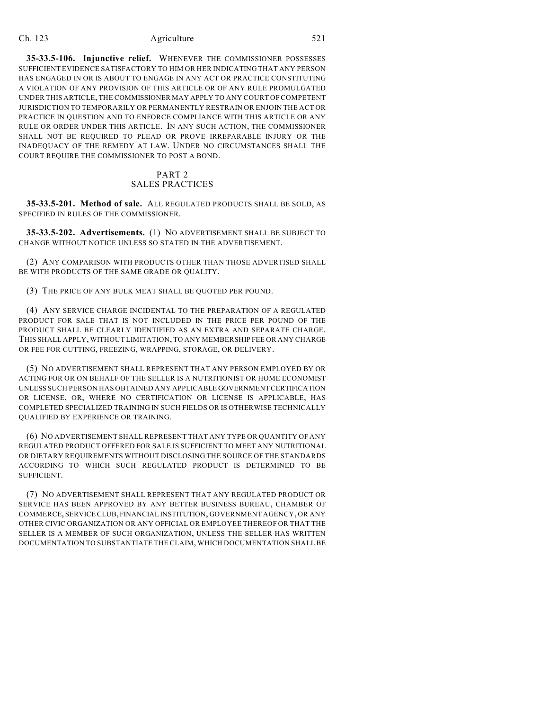**35-33.5-106. Injunctive relief.** WHENEVER THE COMMISSIONER POSSESSES SUFFICIENT EVIDENCE SATISFACTORY TO HIM OR HER INDICATING THAT ANY PERSON HAS ENGAGED IN OR IS ABOUT TO ENGAGE IN ANY ACT OR PRACTICE CONSTITUTING A VIOLATION OF ANY PROVISION OF THIS ARTICLE OR OF ANY RULE PROMULGATED UNDER THIS ARTICLE, THE COMMISSIONER MAY APPLY TO ANY COURT OF COMPETENT JURISDICTION TO TEMPORARILY OR PERMANENTLY RESTRAIN OR ENJOIN THE ACT OR PRACTICE IN QUESTION AND TO ENFORCE COMPLIANCE WITH THIS ARTICLE OR ANY RULE OR ORDER UNDER THIS ARTICLE. IN ANY SUCH ACTION, THE COMMISSIONER SHALL NOT BE REQUIRED TO PLEAD OR PROVE IRREPARABLE INJURY OR THE INADEQUACY OF THE REMEDY AT LAW. UNDER NO CIRCUMSTANCES SHALL THE COURT REQUIRE THE COMMISSIONER TO POST A BOND.

# PART 2

## SALES PRACTICES

**35-33.5-201. Method of sale.** ALL REGULATED PRODUCTS SHALL BE SOLD, AS SPECIFIED IN RULES OF THE COMMISSIONER.

**35-33.5-202. Advertisements.** (1) NO ADVERTISEMENT SHALL BE SUBJECT TO CHANGE WITHOUT NOTICE UNLESS SO STATED IN THE ADVERTISEMENT.

(2) ANY COMPARISON WITH PRODUCTS OTHER THAN THOSE ADVERTISED SHALL BE WITH PRODUCTS OF THE SAME GRADE OR QUALITY.

(3) THE PRICE OF ANY BULK MEAT SHALL BE QUOTED PER POUND.

(4) ANY SERVICE CHARGE INCIDENTAL TO THE PREPARATION OF A REGULATED PRODUCT FOR SALE THAT IS NOT INCLUDED IN THE PRICE PER POUND OF THE PRODUCT SHALL BE CLEARLY IDENTIFIED AS AN EXTRA AND SEPARATE CHARGE. THIS SHALL APPLY, WITHOUT LIMITATION, TO ANY MEMBERSHIP FEE OR ANY CHARGE OR FEE FOR CUTTING, FREEZING, WRAPPING, STORAGE, OR DELIVERY.

(5) NO ADVERTISEMENT SHALL REPRESENT THAT ANY PERSON EMPLOYED BY OR ACTING FOR OR ON BEHALF OF THE SELLER IS A NUTRITIONIST OR HOME ECONOMIST UNLESS SUCH PERSON HAS OBTAINED ANY APPLICABLE GOVERNMENT CERTIFICATION OR LICENSE, OR, WHERE NO CERTIFICATION OR LICENSE IS APPLICABLE, HAS COMPLETED SPECIALIZED TRAINING IN SUCH FIELDS OR IS OTHERWISE TECHNICALLY QUALIFIED BY EXPERIENCE OR TRAINING.

(6) NO ADVERTISEMENT SHALL REPRESENT THAT ANY TYPE OR QUANTITY OF ANY REGULATED PRODUCT OFFERED FOR SALE IS SUFFICIENT TO MEET ANY NUTRITIONAL OR DIETARY REQUIREMENTS WITHOUT DISCLOSING THE SOURCE OF THE STANDARDS ACCORDING TO WHICH SUCH REGULATED PRODUCT IS DETERMINED TO BE SUFFICIENT.

(7) NO ADVERTISEMENT SHALL REPRESENT THAT ANY REGULATED PRODUCT OR SERVICE HAS BEEN APPROVED BY ANY BETTER BUSINESS BUREAU, CHAMBER OF COMMERCE, SERVICE CLUB, FINANCIAL INSTITUTION, GOVERNMENT AGENCY, OR ANY OTHER CIVIC ORGANIZATION OR ANY OFFICIAL OR EMPLOYEE THEREOF OR THAT THE SELLER IS A MEMBER OF SUCH ORGANIZATION, UNLESS THE SELLER HAS WRITTEN DOCUMENTATION TO SUBSTANTIATE THE CLAIM, WHICH DOCUMENTATION SHALL BE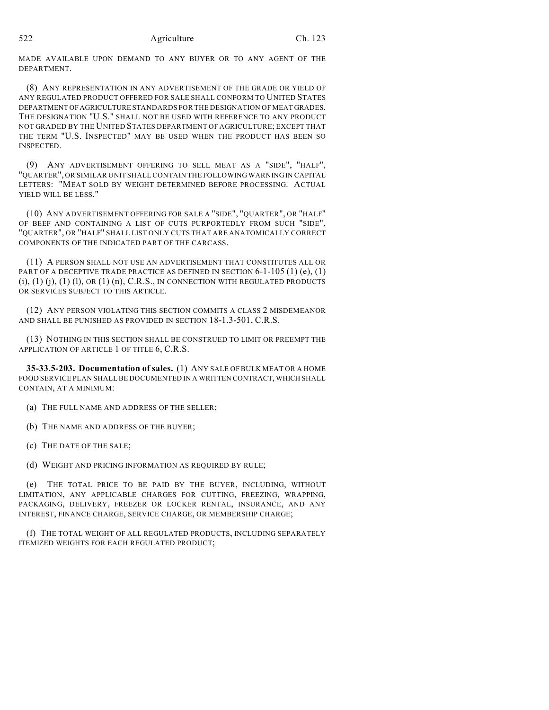MADE AVAILABLE UPON DEMAND TO ANY BUYER OR TO ANY AGENT OF THE DEPARTMENT.

(8) ANY REPRESENTATION IN ANY ADVERTISEMENT OF THE GRADE OR YIELD OF ANY REGULATED PRODUCT OFFERED FOR SALE SHALL CONFORM TO UNITED STATES DEPARTMENT OF AGRICULTURE STANDARDS FOR THE DESIGNATION OF MEAT GRADES. THE DESIGNATION "U.S." SHALL NOT BE USED WITH REFERENCE TO ANY PRODUCT NOT GRADED BY THE UNITED STATES DEPARTMENT OF AGRICULTURE; EXCEPT THAT THE TERM "U.S. INSPECTED" MAY BE USED WHEN THE PRODUCT HAS BEEN SO INSPECTED.

(9) ANY ADVERTISEMENT OFFERING TO SELL MEAT AS A "SIDE", "HALF", "QUARTER", OR SIMILAR UNIT SHALL CONTAIN THE FOLLOWING WARNING IN CAPITAL LETTERS: "MEAT SOLD BY WEIGHT DETERMINED BEFORE PROCESSING. ACTUAL YIELD WILL BE LESS."

(10) ANY ADVERTISEMENT OFFERING FOR SALE A "SIDE", "QUARTER", OR "HALF" OF BEEF AND CONTAINING A LIST OF CUTS PURPORTEDLY FROM SUCH "SIDE", "QUARTER", OR "HALF" SHALL LIST ONLY CUTS THAT ARE ANATOMICALLY CORRECT COMPONENTS OF THE INDICATED PART OF THE CARCASS.

(11) A PERSON SHALL NOT USE AN ADVERTISEMENT THAT CONSTITUTES ALL OR PART OF A DECEPTIVE TRADE PRACTICE AS DEFINED IN SECTION  $6-1-105$  (1) (e), (1)  $(i)$ ,  $(1)$   $(i)$ ,  $(1)$   $(l)$ ,  $OR$   $(1)$   $(n)$ ,  $C.R.S.,$  IN CONNECTION WITH REGULATED PRODUCTS OR SERVICES SUBJECT TO THIS ARTICLE.

(12) ANY PERSON VIOLATING THIS SECTION COMMITS A CLASS 2 MISDEMEANOR AND SHALL BE PUNISHED AS PROVIDED IN SECTION 18-1.3-501, C.R.S.

(13) NOTHING IN THIS SECTION SHALL BE CONSTRUED TO LIMIT OR PREEMPT THE APPLICATION OF ARTICLE 1 OF TITLE 6, C.R.S.

**35-33.5-203. Documentation of sales.** (1) ANY SALE OFBULK MEAT OR A HOME FOOD SERVICE PLAN SHALL BE DOCUMENTED IN A WRITTEN CONTRACT, WHICH SHALL CONTAIN, AT A MINIMUM:

(a) THE FULL NAME AND ADDRESS OF THE SELLER;

(b) THE NAME AND ADDRESS OF THE BUYER;

(c) THE DATE OF THE SALE;

(d) WEIGHT AND PRICING INFORMATION AS REQUIRED BY RULE;

(e) THE TOTAL PRICE TO BE PAID BY THE BUYER, INCLUDING, WITHOUT LIMITATION, ANY APPLICABLE CHARGES FOR CUTTING, FREEZING, WRAPPING, PACKAGING, DELIVERY, FREEZER OR LOCKER RENTAL, INSURANCE, AND ANY INTEREST, FINANCE CHARGE, SERVICE CHARGE, OR MEMBERSHIP CHARGE;

(f) THE TOTAL WEIGHT OF ALL REGULATED PRODUCTS, INCLUDING SEPARATELY ITEMIZED WEIGHTS FOR EACH REGULATED PRODUCT;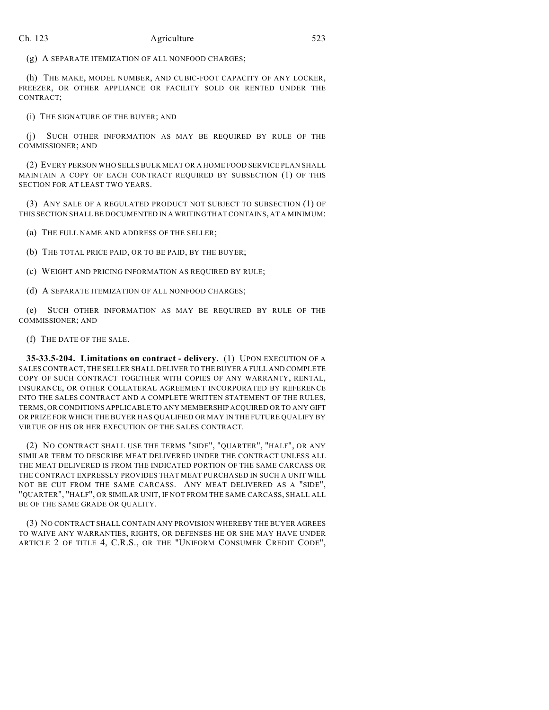(g) A SEPARATE ITEMIZATION OF ALL NONFOOD CHARGES;

(h) THE MAKE, MODEL NUMBER, AND CUBIC-FOOT CAPACITY OF ANY LOCKER, FREEZER, OR OTHER APPLIANCE OR FACILITY SOLD OR RENTED UNDER THE CONTRACT;

(i) THE SIGNATURE OF THE BUYER; AND

(j) SUCH OTHER INFORMATION AS MAY BE REQUIRED BY RULE OF THE COMMISSIONER; AND

(2) EVERY PERSON WHO SELLS BULK MEAT OR A HOME FOOD SERVICE PLAN SHALL MAINTAIN A COPY OF EACH CONTRACT REQUIRED BY SUBSECTION (1) OF THIS SECTION FOR AT LEAST TWO YEARS.

(3) ANY SALE OF A REGULATED PRODUCT NOT SUBJECT TO SUBSECTION (1) OF THIS SECTION SHALL BE DOCUMENTED IN A WRITING THAT CONTAINS, AT A MINIMUM:

(a) THE FULL NAME AND ADDRESS OF THE SELLER;

(b) THE TOTAL PRICE PAID, OR TO BE PAID, BY THE BUYER;

(c) WEIGHT AND PRICING INFORMATION AS REQUIRED BY RULE;

(d) A SEPARATE ITEMIZATION OF ALL NONFOOD CHARGES;

(e) SUCH OTHER INFORMATION AS MAY BE REQUIRED BY RULE OF THE COMMISSIONER; AND

(f) THE DATE OF THE SALE.

**35-33.5-204. Limitations on contract - delivery.** (1) UPON EXECUTION OF A SALES CONTRACT, THE SELLER SHALL DELIVER TO THE BUYER A FULL AND COMPLETE COPY OF SUCH CONTRACT TOGETHER WITH COPIES OF ANY WARRANTY, RENTAL, INSURANCE, OR OTHER COLLATERAL AGREEMENT INCORPORATED BY REFERENCE INTO THE SALES CONTRACT AND A COMPLETE WRITTEN STATEMENT OF THE RULES, TERMS, OR CONDITIONS APPLICABLE TO ANY MEMBERSHIP ACQUIRED OR TO ANY GIFT OR PRIZE FOR WHICH THE BUYER HAS QUALIFIED OR MAY IN THE FUTURE QUALIFY BY VIRTUE OF HIS OR HER EXECUTION OF THE SALES CONTRACT.

(2) NO CONTRACT SHALL USE THE TERMS "SIDE", "QUARTER", "HALF", OR ANY SIMILAR TERM TO DESCRIBE MEAT DELIVERED UNDER THE CONTRACT UNLESS ALL THE MEAT DELIVERED IS FROM THE INDICATED PORTION OF THE SAME CARCASS OR THE CONTRACT EXPRESSLY PROVIDES THAT MEAT PURCHASED IN SUCH A UNIT WILL NOT BE CUT FROM THE SAME CARCASS. ANY MEAT DELIVERED AS A "SIDE", "QUARTER", "HALF", OR SIMILAR UNIT, IF NOT FROM THE SAME CARCASS, SHALL ALL BE OF THE SAME GRADE OR QUALITY.

(3) NO CONTRACT SHALL CONTAIN ANY PROVISION WHEREBY THE BUYER AGREES TO WAIVE ANY WARRANTIES, RIGHTS, OR DEFENSES HE OR SHE MAY HAVE UNDER ARTICLE 2 OF TITLE 4, C.R.S., OR THE "UNIFORM CONSUMER CREDIT CODE",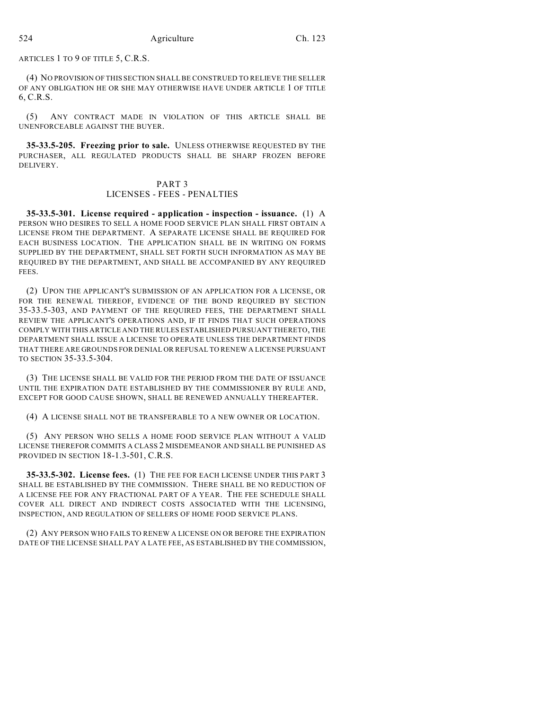ARTICLES 1 TO 9 OF TITLE 5, C.R.S.

(4) NO PROVISION OF THIS SECTION SHALLBE CONSTRUED TO RELIEVE THE SELLER OF ANY OBLIGATION HE OR SHE MAY OTHERWISE HAVE UNDER ARTICLE 1 OF TITLE 6, C.R.S.

(5) ANY CONTRACT MADE IN VIOLATION OF THIS ARTICLE SHALL BE UNENFORCEABLE AGAINST THE BUYER.

**35-33.5-205. Freezing prior to sale.** UNLESS OTHERWISE REQUESTED BY THE PURCHASER, ALL REGULATED PRODUCTS SHALL BE SHARP FROZEN BEFORE DELIVERY.

## PART 3 LICENSES - FEES - PENALTIES

**35-33.5-301. License required - application - inspection - issuance.** (1) A PERSON WHO DESIRES TO SELL A HOME FOOD SERVICE PLAN SHALL FIRST OBTAIN A LICENSE FROM THE DEPARTMENT. A SEPARATE LICENSE SHALL BE REQUIRED FOR EACH BUSINESS LOCATION. THE APPLICATION SHALL BE IN WRITING ON FORMS SUPPLIED BY THE DEPARTMENT, SHALL SET FORTH SUCH INFORMATION AS MAY BE REQUIRED BY THE DEPARTMENT, AND SHALL BE ACCOMPANIED BY ANY REQUIRED FEES.

(2) UPON THE APPLICANT'S SUBMISSION OF AN APPLICATION FOR A LICENSE, OR FOR THE RENEWAL THEREOF, EVIDENCE OF THE BOND REQUIRED BY SECTION 35-33.5-303, AND PAYMENT OF THE REQUIRED FEES, THE DEPARTMENT SHALL REVIEW THE APPLICANT'S OPERATIONS AND, IF IT FINDS THAT SUCH OPERATIONS COMPLY WITH THIS ARTICLE AND THE RULES ESTABLISHED PURSUANT THERETO, THE DEPARTMENT SHALL ISSUE A LICENSE TO OPERATE UNLESS THE DEPARTMENT FINDS THAT THERE ARE GROUNDS FOR DENIAL OR REFUSAL TO RENEW A LICENSE PURSUANT TO SECTION 35-33.5-304.

(3) THE LICENSE SHALL BE VALID FOR THE PERIOD FROM THE DATE OF ISSUANCE UNTIL THE EXPIRATION DATE ESTABLISHED BY THE COMMISSIONER BY RULE AND, EXCEPT FOR GOOD CAUSE SHOWN, SHALL BE RENEWED ANNUALLY THEREAFTER.

(4) A LICENSE SHALL NOT BE TRANSFERABLE TO A NEW OWNER OR LOCATION.

(5) ANY PERSON WHO SELLS A HOME FOOD SERVICE PLAN WITHOUT A VALID LICENSE THEREFOR COMMITS A CLASS 2 MISDEMEANOR AND SHALL BE PUNISHED AS PROVIDED IN SECTION 18-1.3-501, C.R.S.

**35-33.5-302. License fees.** (1) THE FEE FOR EACH LICENSE UNDER THIS PART 3 SHALL BE ESTABLISHED BY THE COMMISSION. THERE SHALL BE NO REDUCTION OF A LICENSE FEE FOR ANY FRACTIONAL PART OF A YEAR. THE FEE SCHEDULE SHALL COVER ALL DIRECT AND INDIRECT COSTS ASSOCIATED WITH THE LICENSING, INSPECTION, AND REGULATION OF SELLERS OF HOME FOOD SERVICE PLANS.

(2) ANY PERSON WHO FAILS TO RENEW A LICENSE ON OR BEFORE THE EXPIRATION DATE OF THE LICENSE SHALL PAY A LATE FEE, AS ESTABLISHED BY THE COMMISSION,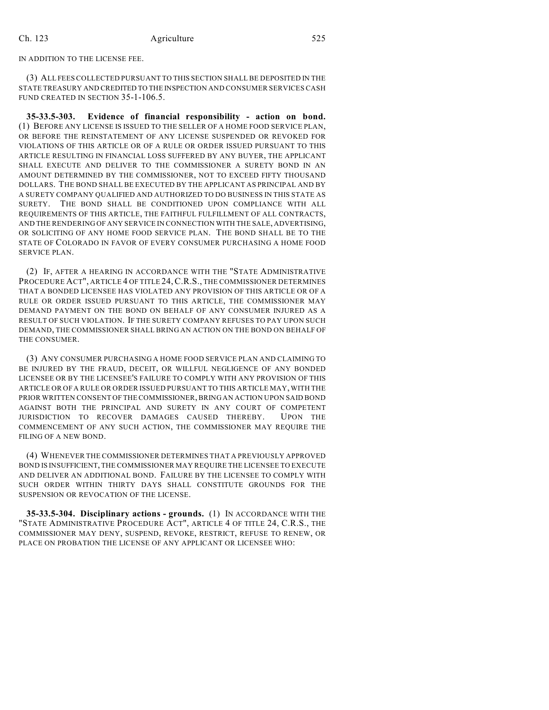IN ADDITION TO THE LICENSE FEE.

(3) ALL FEES COLLECTED PURSUANT TO THIS SECTION SHALL BE DEPOSITED IN THE STATE TREASURY AND CREDITED TO THE INSPECTION AND CONSUMER SERVICES CASH FUND CREATED IN SECTION 35-1-106.5.

**35-33.5-303. Evidence of financial responsibility - action on bond.** (1) BEFORE ANY LICENSE IS ISSUED TO THE SELLER OF A HOME FOOD SERVICE PLAN, OR BEFORE THE REINSTATEMENT OF ANY LICENSE SUSPENDED OR REVOKED FOR VIOLATIONS OF THIS ARTICLE OR OF A RULE OR ORDER ISSUED PURSUANT TO THIS ARTICLE RESULTING IN FINANCIAL LOSS SUFFERED BY ANY BUYER, THE APPLICANT SHALL EXECUTE AND DELIVER TO THE COMMISSIONER A SURETY BOND IN AN AMOUNT DETERMINED BY THE COMMISSIONER, NOT TO EXCEED FIFTY THOUSAND DOLLARS. THE BOND SHALL BE EXECUTED BY THE APPLICANT AS PRINCIPAL AND BY A SURETY COMPANY QUALIFIED AND AUTHORIZED TO DO BUSINESS IN THIS STATE AS SURETY. THE BOND SHALL BE CONDITIONED UPON COMPLIANCE WITH ALL REQUIREMENTS OF THIS ARTICLE, THE FAITHFUL FULFILLMENT OF ALL CONTRACTS, AND THE RENDERING OF ANY SERVICE IN CONNECTION WITH THE SALE, ADVERTISING, OR SOLICITING OF ANY HOME FOOD SERVICE PLAN. THE BOND SHALL BE TO THE STATE OF COLORADO IN FAVOR OF EVERY CONSUMER PURCHASING A HOME FOOD SERVICE PLAN.

(2) IF, AFTER A HEARING IN ACCORDANCE WITH THE "STATE ADMINISTRATIVE PROCEDURE ACT", ARTICLE 4 OF TITLE 24,C.R.S., THE COMMISSIONER DETERMINES THAT A BONDED LICENSEE HAS VIOLATED ANY PROVISION OF THIS ARTICLE OR OF A RULE OR ORDER ISSUED PURSUANT TO THIS ARTICLE, THE COMMISSIONER MAY DEMAND PAYMENT ON THE BOND ON BEHALF OF ANY CONSUMER INJURED AS A RESULT OF SUCH VIOLATION. IF THE SURETY COMPANY REFUSES TO PAY UPON SUCH DEMAND, THE COMMISSIONER SHALL BRING AN ACTION ON THE BOND ON BEHALF OF THE CONSUMER.

(3) ANY CONSUMER PURCHASING A HOME FOOD SERVICE PLAN AND CLAIMING TO BE INJURED BY THE FRAUD, DECEIT, OR WILLFUL NEGLIGENCE OF ANY BONDED LICENSEE OR BY THE LICENSEE'S FAILURE TO COMPLY WITH ANY PROVISION OF THIS ARTICLE OR OF A RULE OR ORDER ISSUED PURSUANT TO THIS ARTICLE MAY, WITH THE PRIOR WRITTEN CONSENT OF THE COMMISSIONER, BRING AN ACTION UPON SAID BOND AGAINST BOTH THE PRINCIPAL AND SURETY IN ANY COURT OF COMPETENT JURISDICTION TO RECOVER DAMAGES CAUSED THEREBY. UPON THE COMMENCEMENT OF ANY SUCH ACTION, THE COMMISSIONER MAY REQUIRE THE FILING OF A NEW BOND.

(4) WHENEVER THE COMMISSIONER DETERMINES THAT A PREVIOUSLY APPROVED BOND IS INSUFFICIENT, THE COMMISSIONER MAY REQUIRE THE LICENSEE TO EXECUTE AND DELIVER AN ADDITIONAL BOND. FAILURE BY THE LICENSEE TO COMPLY WITH SUCH ORDER WITHIN THIRTY DAYS SHALL CONSTITUTE GROUNDS FOR THE SUSPENSION OR REVOCATION OF THE LICENSE.

**35-33.5-304. Disciplinary actions - grounds.** (1) IN ACCORDANCE WITH THE "STATE ADMINISTRATIVE PROCEDURE ACT", ARTICLE 4 OF TITLE 24, C.R.S., THE COMMISSIONER MAY DENY, SUSPEND, REVOKE, RESTRICT, REFUSE TO RENEW, OR PLACE ON PROBATION THE LICENSE OF ANY APPLICANT OR LICENSEE WHO: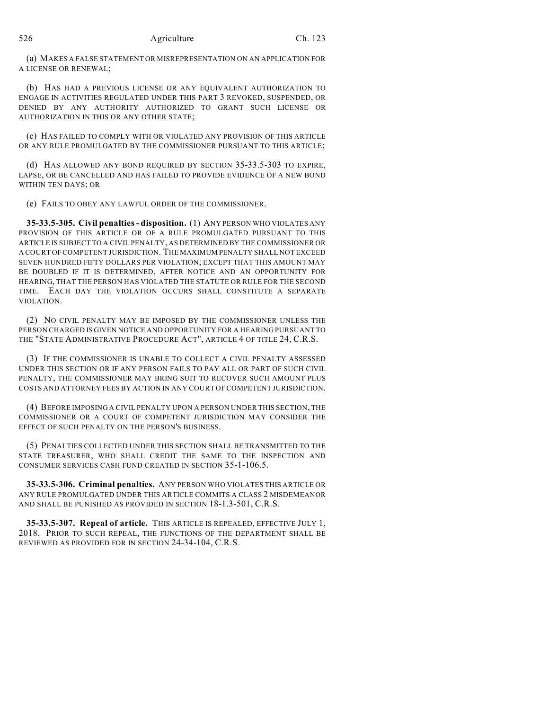(a) MAKES A FALSE STATEMENT OR MISREPRESENTATION ON AN APPLICATION FOR A LICENSE OR RENEWAL;

(b) HAS HAD A PREVIOUS LICENSE OR ANY EQUIVALENT AUTHORIZATION TO ENGAGE IN ACTIVITIES REGULATED UNDER THIS PART 3 REVOKED, SUSPENDED, OR DENIED BY ANY AUTHORITY AUTHORIZED TO GRANT SUCH LICENSE OR AUTHORIZATION IN THIS OR ANY OTHER STATE;

(c) HAS FAILED TO COMPLY WITH OR VIOLATED ANY PROVISION OF THIS ARTICLE OR ANY RULE PROMULGATED BY THE COMMISSIONER PURSUANT TO THIS ARTICLE;

(d) HAS ALLOWED ANY BOND REQUIRED BY SECTION 35-33.5-303 TO EXPIRE, LAPSE, OR BE CANCELLED AND HAS FAILED TO PROVIDE EVIDENCE OF A NEW BOND WITHIN TEN DAYS; OR

(e) FAILS TO OBEY ANY LAWFUL ORDER OF THE COMMISSIONER.

**35-33.5-305. Civil penalties - disposition.** (1) ANY PERSON WHO VIOLATES ANY PROVISION OF THIS ARTICLE OR OF A RULE PROMULGATED PURSUANT TO THIS ARTICLE IS SUBJECT TO A CIVIL PENALTY, AS DETERMINED BY THE COMMISSIONER OR A COURT OF COMPETENT JURISDICTION. THE MAXIMUM PENALTY SHALL NOT EXCEED SEVEN HUNDRED FIFTY DOLLARS PER VIOLATION; EXCEPT THAT THIS AMOUNT MAY BE DOUBLED IF IT IS DETERMINED, AFTER NOTICE AND AN OPPORTUNITY FOR HEARING, THAT THE PERSON HAS VIOLATED THE STATUTE OR RULE FOR THE SECOND TIME. EACH DAY THE VIOLATION OCCURS SHALL CONSTITUTE A SEPARATE VIOLATION.

(2) NO CIVIL PENALTY MAY BE IMPOSED BY THE COMMISSIONER UNLESS THE PERSON CHARGED IS GIVEN NOTICE AND OPPORTUNITY FOR A HEARING PURSUANT TO THE "STATE ADMINISTRATIVE PROCEDURE ACT", ARTICLE 4 OF TITLE 24, C.R.S.

(3) IF THE COMMISSIONER IS UNABLE TO COLLECT A CIVIL PENALTY ASSESSED UNDER THIS SECTION OR IF ANY PERSON FAILS TO PAY ALL OR PART OF SUCH CIVIL PENALTY, THE COMMISSIONER MAY BRING SUIT TO RECOVER SUCH AMOUNT PLUS COSTS AND ATTORNEY FEES BY ACTION IN ANY COURT OFCOMPETENT JURISDICTION.

(4) BEFORE IMPOSING A CIVIL PENALTY UPON A PERSON UNDER THIS SECTION, THE COMMISSIONER OR A COURT OF COMPETENT JURISDICTION MAY CONSIDER THE EFFECT OF SUCH PENALTY ON THE PERSON'S BUSINESS.

(5) PENALTIES COLLECTED UNDER THIS SECTION SHALL BE TRANSMITTED TO THE STATE TREASURER, WHO SHALL CREDIT THE SAME TO THE INSPECTION AND CONSUMER SERVICES CASH FUND CREATED IN SECTION 35-1-106.5.

**35-33.5-306. Criminal penalties.** ANY PERSON WHO VIOLATES THIS ARTICLE OR ANY RULE PROMULGATED UNDER THIS ARTICLE COMMITS A CLASS 2 MISDEMEANOR AND SHALL BE PUNISHED AS PROVIDED IN SECTION 18-1.3-501, C.R.S.

**35-33.5-307. Repeal of article.** THIS ARTICLE IS REPEALED, EFFECTIVE JULY 1, 2018. PRIOR TO SUCH REPEAL, THE FUNCTIONS OF THE DEPARTMENT SHALL BE REVIEWED AS PROVIDED FOR IN SECTION 24-34-104, C.R.S.